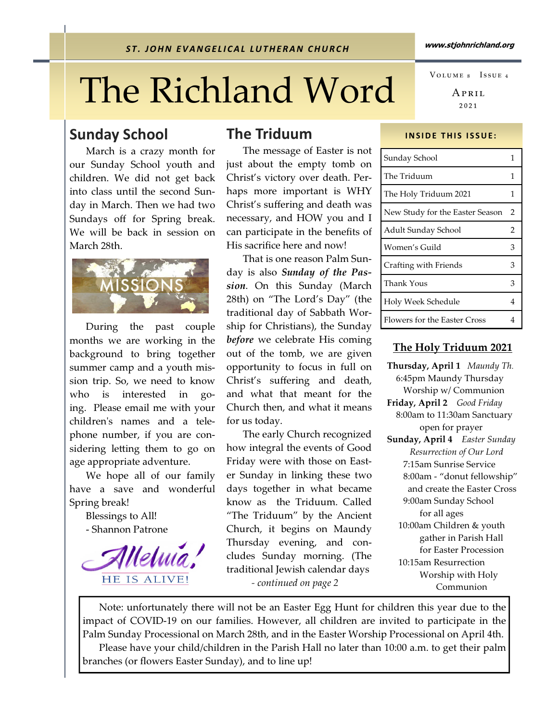# The Richland Word

#### Sunday School

 March is a crazy month for our Sunday School youth and children. We did not get back into class until the second Sunday in March. Then we had two Sundays off for Spring break. We will be back in session on March 28th.



 During the past couple months we are working in the background to bring together summer camp and a youth mission trip. So, we need to know who is interested in going. Please email me with your childrenʹs names and a telephone number, if you are considering letting them to go on age appropriate adventure.

 We hope all of our family have a save and wonderful Spring break!

> Blessings to All! - Shannon Patrone



#### The Triduum

The message of Easter is not just about the empty tomb on Christ's victory over death. Perhaps more important is WHY Christ's suffering and death was necessary, and HOW you and I can participate in the benefits of His sacrifice here and now!

 That is one reason Palm Sunday is also Sunday of the Passion. On this Sunday (March 28th) on "The Lord's Day" (the traditional day of Sabbath Worship for Christians), the Sunday before we celebrate His coming out of the tomb, we are given opportunity to focus in full on Christ's suffering and death, and what that meant for the Church then, and what it means for us today.

 The early Church recognized how integral the events of Good Friday were with those on Easter Sunday in linking these two days together in what became know as the Triduum. Called "The Triduum" by the Ancient Church, it begins on Maundy Thursday evening, and concludes Sunday morning. (The traditional Jewish calendar days - continued on page 2

APRIL ₂₀₂₁ VOLUME 8 ISSUE 4

#### **INSIDE THIS ISSUE:**

| Sunday School                   | 1 |
|---------------------------------|---|
| The Triduum                     | 1 |
| The Holy Triduum 2021           | 1 |
| New Study for the Easter Season | 2 |
| Adult Sunday School             | 2 |
| Women's Guild                   | З |
| Crafting with Friends           | 3 |
| <b>Thank Yous</b>               | 3 |
| Holy Week Schedule              | 4 |
| Flowers for the Easter Cross    |   |

#### The Holy Triduum 2021

Thursday, April 1 Maundy Th. 6:45pm Maundy Thursday Worship w/ Communion Friday, April 2 Good Friday 8:00am to 11:30am Sanctuary open for prayer Sunday, April 4 Easter Sunday Resurrection of Our Lord 7:15am Sunrise Service 8:00am - "donut fellowship" and create the Easter Cross 9:00am Sunday School for all ages 10:00am Children & youth gather in Parish Hall for Easter Procession 10:15am Resurrection Worship with Holy Communion

 Note: unfortunately there will not be an Easter Egg Hunt for children this year due to the impact of COVID-19 on our families. However, all children are invited to participate in the Palm Sunday Processional on March 28th, and in the Easter Worship Processional on April 4th. Please have your child/children in the Parish Hall no later than 10:00 a.m. to get their palm branches (or flowers Easter Sunday), and to line up!

www.stjohnrichland.org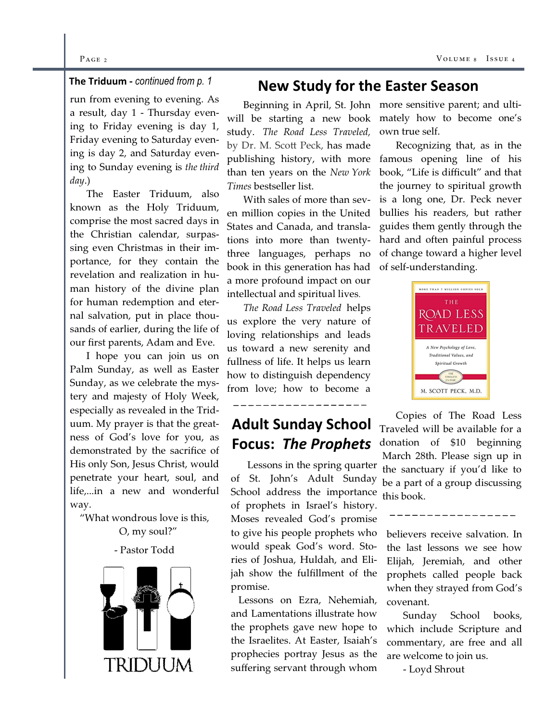#### $P_{\text{AGE 2}}$  Vo

#### The Triduum - continued from p. 1

run from evening to evening. As a result, day 1 - Thursday evening to Friday evening is day 1, Friday evening to Saturday evening is day 2, and Saturday evening to Sunday evening is the third day.)

 The Easter Triduum, also known as the Holy Triduum, comprise the most sacred days in the Christian calendar, surpassing even Christmas in their importance, for they contain the revelation and realization in human history of the divine plan for human redemption and eternal salvation, put in place thousands of earlier, during the life of our first parents, Adam and Eve.

 I hope you can join us on Palm Sunday, as well as Easter Sunday, as we celebrate the mystery and majesty of Holy Week, especially as revealed in the Triduum. My prayer is that the greatness of God's love for you, as demonstrated by the sacrifice of His only Son, Jesus Christ, would penetrate your heart, soul, and life,...in a new and wonderful way.

"What wondrous love is this, O, my soul?"

#### - Pastor Todd



#### New Study for the Easter Season

 Beginning in April, St. John more sensitive parent; and ultiwill be starting a new book mately how to become one's study. The Road Less Traveled, by Dr. M. Scott Peck, has made publishing history, with more than ten years on the New York Times bestseller list.

 With sales of more than seven million copies in the United States and Canada, and translations into more than twentythree languages, perhaps no book in this generation has had a more profound impact on our intellectual and spiritual lives.

The Road Less Traveled helps us explore the very nature of loving relationships and leads us toward a new serenity and fullness of life. It helps us learn how to distinguish dependency from love; how to become a

## Adult Sunday School Focus: The Prophets

 Lessons in the spring quarter of St. John's Adult Sunday School address the importance of prophets in Israel's history. Moses revealed God's promise to give his people prophets who would speak God's word. Stories of Joshua, Huldah, and Elijah show the fulfillment of the promise.

 Lessons on Ezra, Nehemiah, and Lamentations illustrate how the prophets gave new hope to the Israelites. At Easter, Isaiah's prophecies portray Jesus as the suffering servant through whom

own true self.

 Recognizing that, as in the famous opening line of his book, "Life is difficult" and that the journey to spiritual growth is a long one, Dr. Peck never bullies his readers, but rather guides them gently through the hard and often painful process of change toward a higher level of self-understanding.



 Copies of The Road Less Traveled will be available for a donation of \$10 beginning March 28th. Please sign up in the sanctuary if you'd like to be a part of a group discussing this book.

believers receive salvation. In the last lessons we see how Elijah, Jeremiah, and other prophets called people back when they strayed from God's covenant.

 Sunday School books, which include Scripture and commentary, are free and all are welcome to join us.

- Loyd Shrout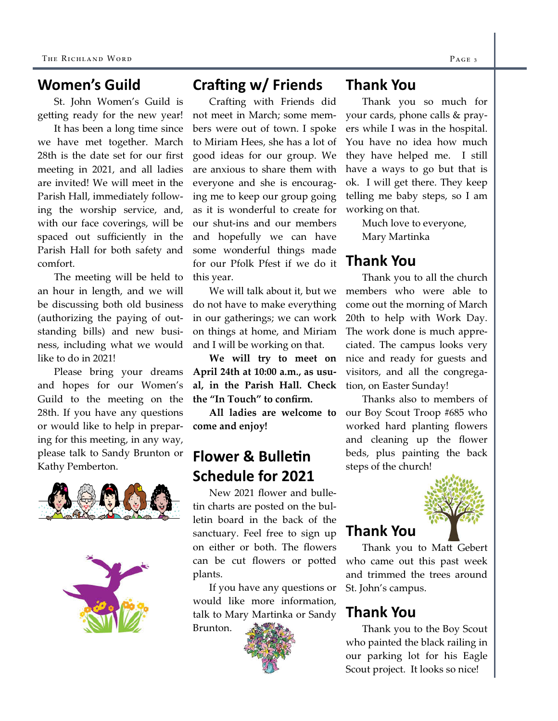#### Women's Guild

St. John Women's Guild is getting ready for the new year!

 It has been a long time since we have met together. March 28th is the date set for our first meeting in 2021, and all ladies are invited! We will meet in the Parish Hall, immediately following the worship service, and, with our face coverings, will be spaced out sufficiently in the Parish Hall for both safety and comfort.

 The meeting will be held to an hour in length, and we will be discussing both old business (authorizing the paying of outstanding bills) and new business, including what we would like to do in 2021!

 Please bring your dreams and hopes for our Women's Guild to the meeting on the 28th. If you have any questions or would like to help in preparing for this meeting, in any way, please talk to Sandy Brunton or Kathy Pemberton.





## Crafting  $w/$  Friends

 Crafting with Friends did not meet in March; some members were out of town. I spoke to Miriam Hees, she has a lot of good ideas for our group. We are anxious to share them with everyone and she is encouraging me to keep our group going as it is wonderful to create for our shut-ins and our members and hopefully we can have some wonderful things made for our Pfolk Pfest if we do it this year.

 We will talk about it, but we do not have to make everything in our gatherings; we can work on things at home, and Miriam and I will be working on that.

We will try to meet on April 24th at 10:00 a.m., as usual, in the Parish Hall. Check the "In Touch" to confirm.

 All ladies are welcome to come and enjoy!

## **Flower & Bulletin** Schedule for 2021

New 2021 flower and bulletin charts are posted on the bulletin board in the back of the sanctuary. Feel free to sign up on either or both. The flowers can be cut flowers or potted plants.

 If you have any questions or would like more information, talk to Mary Martinka or Sandy

Brunton.



#### Thank You

Thank you so much for your cards, phone calls & prayers while I was in the hospital. You have no idea how much they have helped me. I still have a ways to go but that is ok. I will get there. They keep telling me baby steps, so I am working on that.

> Much love to everyone, Mary Martinka

## Thank You

Thank you to all the church members who were able to come out the morning of March 20th to help with Work Day. The work done is much appreciated. The campus looks very nice and ready for guests and visitors, and all the congregation, on Easter Sunday!

 Thanks also to members of our Boy Scout Troop #685 who worked hard planting flowers and cleaning up the flower beds, plus painting the back steps of the church!



#### Thank You

Thank you to Matt Gebert who came out this past week and trimmed the trees around St. John's campus.

## Thank You

Thank you to the Boy Scout who painted the black railing in our parking lot for his Eagle Scout project. It looks so nice!